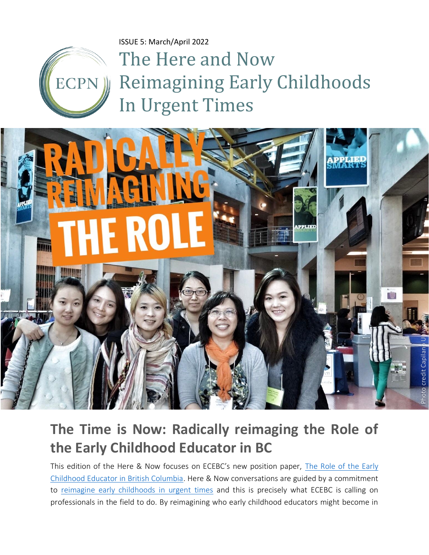ISSUE 5: March/April 2022



The Here and Now Reimagining Early Childhoods In Urgent Times



# **The Time is Now: Radically reimaging the Role of the Early Childhood Educator in BC**

This edition of the Here & Now focuses on ECEBC's new position paper, [The Role of the Early](https://www.ecebc.ca/application/files/5716/4617/5189/Position_Paper_-_The_Role_of_the_Early_Childhood_Educator_in_British_Columbia_rev.0226.pdf)  [Childhood Educator in British Columbia.](https://www.ecebc.ca/application/files/5716/4617/5189/Position_Paper_-_The_Role_of_the_Early_Childhood_Educator_in_British_Columbia_rev.0226.pdf) Here & Now conversations are guided by a commitment to [reimagine early childhoods in urgent times](https://www.ecpn.ca/publications/here-and-now-reimagining-early-childhoods-urgent-times-issue-1-december-2021) and this is precisely what ECEBC is calling on professionals in the field to do. By reimagining who early childhood educators might become in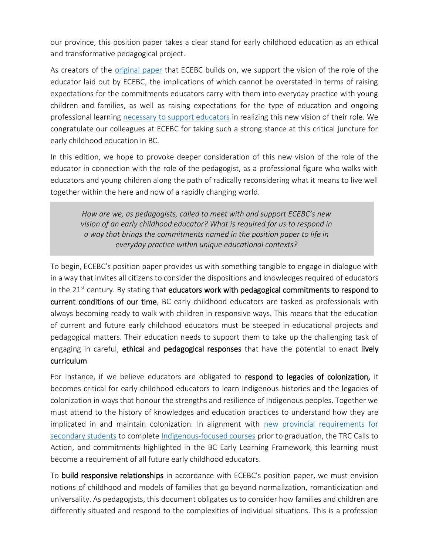our province, this position paper takes a clear stand for early childhood education as an ethical and transformative pedagogical project.

As creators of the [original paper](https://www.earlychildhoodcollaboratory.net/conditions-for-moving-beyond-quality-in-canadian-early-childhood-education) that ECEBC builds on, we support the vision of the role of the educator laid out by ECEBC, the implications of which cannot be overstated in terms of raising expectations for the commitments educators carry with them into everyday practice with young children and families, as well as raising expectations for the type of education and ongoing professional learning [necessary to support educators](https://theconversation.com/federal-budget-2021-7-actions-to-ensure-canadas-child-care-plan-is-about-education-159191) in realizing this new vision of their role. We congratulate our colleagues at ECEBC for taking such a strong stance at this critical juncture for early childhood education in BC.

In this edition, we hope to provoke deeper consideration of this new vision of the role of the educator in connection with the role of the pedagogist, as a professional figure who walks with educators and young children along the path of radically reconsidering what it means to live well together within the here and now of a rapidly changing world.

*How are we, as pedagogists, called to meet with and support ECEBC's new vision of an early childhood educator? What is required for us to respond in a way that brings the commitments named in the position paper to life in everyday practice within unique educational contexts?*

To begin, ECEBC's position paper provides us with something tangible to engage in dialogue with in a way that invites all citizens to consider the dispositions and knowledges required of educators in the  $21<sup>st</sup>$  century. By stating that educators work with pedagogical commitments to respond to current conditions of our time, BC early childhood educators are tasked as professionals with always becoming ready to walk with children in responsive ways. This means that the education of current and future early childhood educators must be steeped in educational projects and pedagogical matters. Their education needs to support them to take up the challenging task of engaging in careful, ethical and pedagogical responses that have the potential to enact lively curriculum.

For instance, if we believe educators are obligated to respond to legacies of colonization, it becomes critical for early childhood educators to learn Indigenous histories and the legacies of colonization in ways that honour the strengths and resilience of Indigenous peoples. Together we must attend to the history of knowledges and education practices to understand how they are implicated in and maintain colonization. In alignment with [new provincial requirements for](https://www.cbc.ca/news/canada/british-columbia/secondary-schools-bc-indigenous-courses-1.6380578#:~:text=The%20province%20announced%20March%204,the%202023%2D2024%20school%20year.)  [secondary students](https://www.cbc.ca/news/canada/british-columbia/secondary-schools-bc-indigenous-courses-1.6380578#:~:text=The%20province%20announced%20March%204,the%202023%2D2024%20school%20year.) to complete [Indigenous-focused courses](https://firstpeoplesprinciplesoflearning.wordpress.com/) prior to graduation, the TRC Calls to Action, and commitments highlighted in the BC Early Learning Framework, this learning must become a requirement of all future early childhood educators.

To build responsive relationships in accordance with ECEBC's position paper, we must envision notions of childhood and models of families that go beyond normalization, romanticization and universality. As pedagogists, this document obligates us to consider how families and children are differently situated and respond to the complexities of individual situations. This is a profession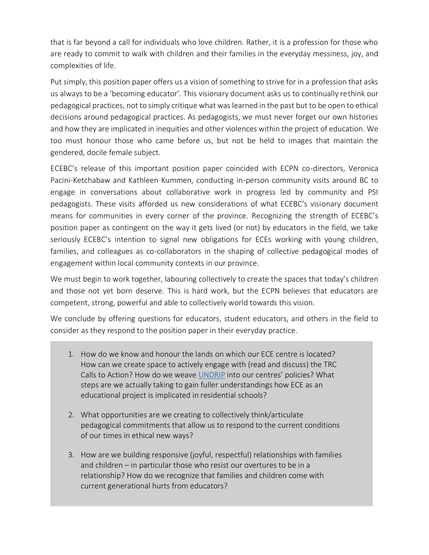that is far beyond a call for individuals who love children. Rather, it is a profession for those who are ready to commit to walk with children and their families in the everyday messiness, joy, and complexities of life.

Put simply, this position paper offers us a vision of something to strive for in a profession that asks us always to be a 'becoming educator'. This visionary document asks us to continually rethink our pedagogical practices, not to simply critique what was learned in the past but to be open to ethical decisions around pedagogical practices. As pedagogists, we must never forget our own histories and how they are implicated in inequities and other violences within the project of education. We too must honour those who came before us, but not be held to images that maintain the gendered, docile female subject.

ECEBC's release of this important position paper coincided with ECPN co-directors, Veronica Pacini-Ketchabaw and Kathleen Kummen, conducting in-person community visits around BC to engage in conversations about collaborative work in progress led by community and PSI pedagogists. These visits afforded us new considerations of what ECEBC's visionary document means for communities in every corner of the province. Recognizing the strength of ECEBC's position paper as contingent on the way it gets lived (or not) by educators in the field, we take seriously ECEBC's intention to signal new obligations for ECEs working with young children, families, and colleagues as co-collaborators in the shaping of collective pedagogical modes of engagement within local community contexts in our province.

We must begin to work together, labouring collectively to create the spaces that today's children and those not yet born deserve. This is hard work, but the ECPN believes that educators are competent, strong, powerful and able to collectively world towards this vision.

We conclude by offering questions for educators, student educators, and others in the field to consider as they respond to the position paper in their everyday practice.

- 1. How do we know and honour the lands on which our ECE centre is located? How can we create space to actively engage with (read and discuss) the TRC Calls to Action? How do we weave [UNDRIP](https://www2.gov.bc.ca/gov/content/governments/indigenous-people/new-relationship/united-nations-declaration-on-the-rights-of-indigenous-peoples) into our centres' policies? What steps are we actually taking to gain fuller understandings how ECE as an educational project is implicated in residential schools?
- 2. What opportunities are we creating to collectively think/articulate pedagogical commitments that allow us to respond to the current conditions of our times in ethical new ways?
- 3. How are we building responsive (joyful, respectful) relationships with families and children – in particular those who resist our overtures to be in a relationship? How do we recognize that families and children come with current generational hurts from educators?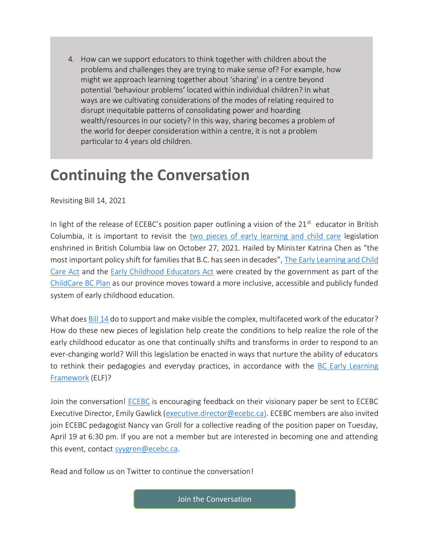4. How can we support educators to think together with children about the problems and challenges they are trying to make sense of? For example, how might we approach learning together about 'sharing' in a centre beyond potential 'behaviour problems' located within individual children? In what ways are we cultivating considerations of the modes of relating required to disrupt inequitable patterns of consolidating power and hoarding wealth/resources in our society? In this way, sharing becomes a problem of the world for deeper consideration within a centre, it is not a problem particular to 4 years old children.

## **Continuing the Conversation**

Revisiting Bill 14, 2021

In light of the release of ECEBC's position paper outlining a vision of the 21<sup>st</sup> educator in British Columbia, it is important to revisit the [two pieces of early learning and child care](https://news.gov.bc.ca/releases/2021CFD0070-002070) legislation enshrined in British Columbia law on October 27, 2021. Hailed by Minister Katrina Chen as "the most important policy shift for families that B.C. has seen in decades", [The Early Learning and Child](https://www.leg.bc.ca/content/data%20-%20ldp/Pages/42nd2nd/1st_read/PDF/gov15-1.pdf)  [Care Act](https://www.leg.bc.ca/content/data%20-%20ldp/Pages/42nd2nd/1st_read/PDF/gov15-1.pdf) and the [Early Childhood Educators Act](https://www.leg.bc.ca/parliamentary-business/legislation-debates-proceedings/42nd-parliament/2nd-session/bills/first-reading/gov14-1) were created by the government as part of the [ChildCare BC Plan](https://www2.gov.bc.ca/gov/content/family-social-supports/caring-for-young-children) as our province moves toward a more inclusive, accessible and publicly funded system of early childhood education.

What does [Bill 14](https://www.ecpn.ca/application/files/4816/3823/1775/The_Here_and_Now-_ISSUE_1_PDF_version-final.pdf) do to support and make visible the complex, multifaceted work of the educator? How do these new pieces of legislation help create the conditions to help realize the role of the early childhood educator as one that continually shifts and transforms in order to respond to an ever-changing world? Will this legislation be enacted in ways that nurture the ability of educators to rethink their pedagogies and everyday practices, in accordance with the BC Early Learning [Framework](https://www2.gov.bc.ca/gov/content/education-training/early-learning/teach/early-learning-framework) (ELF)?

Join the conversation! **ECEBC** is encouraging feedback on their visionary paper be sent to [ECEBC](https://twitter.com/ECEBC1/status/1498385034138378241) Executive Director, Emily Gawlick [\(executive.director@ecebc.ca\)](mailto:executive.director@ecebc.ca). ECEBC members are also invited join ECEBC pedagogist Nancy van Groll for a collective reading of the position paper on Tuesday, April 19 at 6:30 pm. If you are not a member but are interested in becoming one and attending this event, contact [syygren@ecebc.ca.](mailto:syygren@ecebc.ca)

Read and follow us on Twitter to continue the conversation!

[Join the Conversation](https://twitter.com/EcpnBc/status/1501778824983318536)